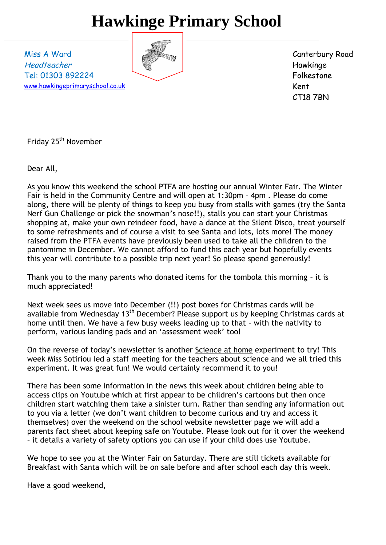# **Hawkinge Primary School**

Miss A Ward Headteacher Tel: 01303 892224 [www.hawkingeprimaryschool.co.uk](http://www.hawkingeprimaryschool.co.uk/)



Canterbury Road Hawkinge Folkestone Kent CT18 7BN

Friday 25<sup>th</sup> November

Dear All,

As you know this weekend the school PTFA are hosting our annual Winter Fair. The Winter Fair is held in the Community Centre and will open at 1:30pm – 4pm . Please do come along, there will be plenty of things to keep you busy from stalls with games (try the Santa Nerf Gun Challenge or pick the snowman's nose!!), stalls you can start your Christmas shopping at, make your own reindeer food, have a dance at the Silent Disco, treat yourself to some refreshments and of course a visit to see Santa and lots, lots more! The money raised from the PTFA events have previously been used to take all the children to the pantomime in December. We cannot afford to fund this each year but hopefully events this year will contribute to a possible trip next year! So please spend generously!

Thank you to the many parents who donated items for the tombola this morning – it is much appreciated!

Next week sees us move into December (!!) post boxes for Christmas cards will be available from Wednesday 13<sup>th</sup> December? Please support us by keeping Christmas cards at home until then. We have a few busy weeks leading up to that – with the nativity to perform, various landing pads and an 'assessment week' too!

On the reverse of today's newsletter is another Science at home experiment to try! This week Miss Sotiriou led a staff meeting for the teachers about science and we all tried this experiment. It was great fun! We would certainly recommend it to you!

There has been some information in the news this week about children being able to access clips on Youtube which at first appear to be children's cartoons but then once children start watching them take a sinister turn. Rather than sending any information out to you via a letter (we don't want children to become curious and try and access it themselves) over the weekend on the school website newsletter page we will add a parents fact sheet about keeping safe on Youtube. Please look out for it over the weekend – it details a variety of safety options you can use if your child does use Youtube.

We hope to see you at the Winter Fair on Saturday. There are still tickets available for Breakfast with Santa which will be on sale before and after school each day this week.

Have a good weekend,